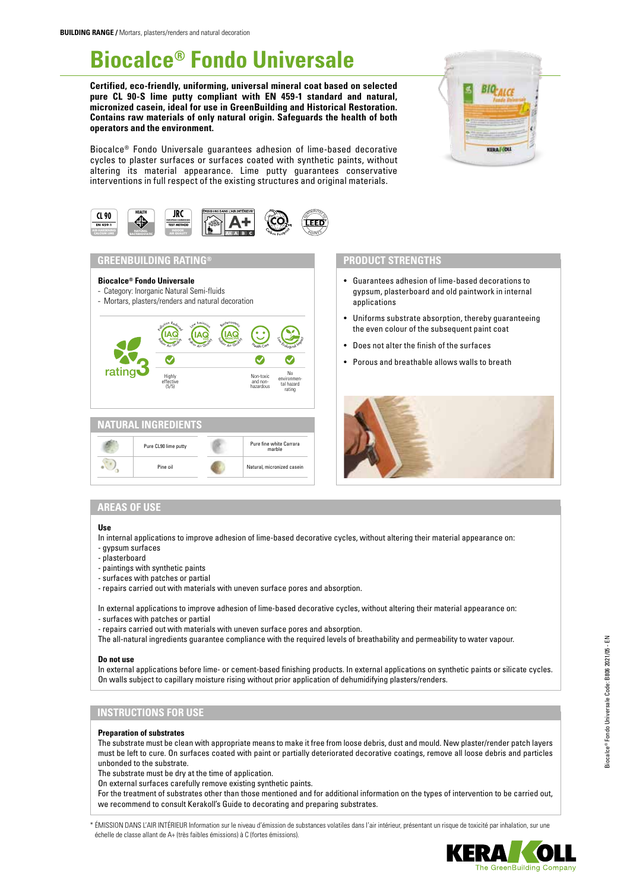# **Biocalce® Fondo Universale**

**Certified, eco-friendly, uniforming, universal mineral coat based on selected pure CL 90-S lime putty compliant with EN 459-1 standard and natural, micronized casein, ideal for use in GreenBuilding and Historical Restoration. Contains raw materials of only natural origin. Safeguards the health of both operators and the environment.**

Biocalce® Fondo Universale guarantees adhesion of lime-based decorative cycles to plaster surfaces or surfaces coated with synthetic paints, without altering its material appearance. Lime putty guarantees conservative interventions in full respect of the existing structures and original materials.





## **GREENBUILDING RATING®**

- **Biocalce® Fondo Universale**
- Category: Inorganic Natural Semi-fluids
- Mortars, plasters/renders and natural decoration





## **PRODUCT STRENGTHS**

- Guarantees adhesion of lime-based decorations to gypsum, plasterboard and old paintwork in internal applications
- Uniforms substrate absorption, thereby guaranteeing the even colour of the subsequent paint coat
- Does not alter the finish of the surfaces
- Porous and breathable allows walls to breath



# **AREAS OF USE**

#### **Use**

In internal applications to improve adhesion of lime-based decorative cycles, without altering their material appearance on:

- gypsum surfaces
- plasterboard
- paintings with synthetic paints
- surfaces with patches or partial
- repairs carried out with materials with uneven surface pores and absorption.

In external applications to improve adhesion of lime-based decorative cycles, without altering their material appearance on:

- surfaces with patches or partial
- repairs carried out with materials with uneven surface pores and absorption.
- The all-natural ingredients guarantee compliance with the required levels of breathability and permeability to water vapour.

#### **Do not use**

In external applications before lime- or cement-based finishing products. In external applications on synthetic paints or silicate cycles. On walls subject to capillary moisture rising without prior application of dehumidifying plasters/renders.

## **INSTRUCTIONS FOR USE**

#### **Preparation of substrates**

The substrate must be clean with appropriate means to make it free from loose debris, dust and mould. New plaster/render patch layers must be left to cure. On surfaces coated with paint or partially deteriorated decorative coatings, remove all loose debris and particles unbonded to the substrate.

The substrate must be dry at the time of application.

On external surfaces carefully remove existing synthetic paints.

For the treatment of substrates other than those mentioned and for additional information on the types of intervention to be carried out, we recommend to consult Kerakoll's Guide to decorating and preparing substrates.

\* ÉMISSION DANS L'AIR INTÉRIEUR Information sur le niveau d'émission de substances volatiles dans l'air intérieur, présentant un risque de toxicité par inhalation, sur une échelle de classe allant de A+ (très faibles émissions) à C (fortes émissions).

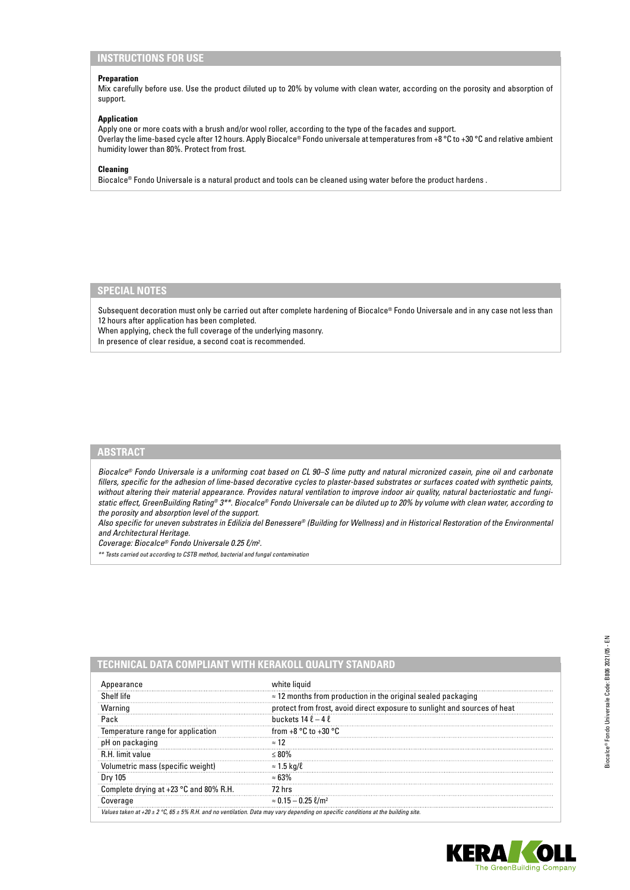# **INSTRUCTIONS FOR USE**

## **Preparation**

Mix carefully before use. Use the product diluted up to 20% by volume with clean water, according on the porosity and absorption of support.

## **Application**

Apply one or more coats with a brush and/or wool roller, according to the type of the facades and support. Overlay the lime-based cycle after 12 hours. Apply Biocalce® Fondo universale at temperatures from +8 °C to +30 °C and relative ambient humidity lower than 80%. Protect from frost.

## **Cleaning**

Biocalce® Fondo Universale is a natural product and tools can be cleaned using water before the product hardens .

# **SPECIAL NOTES**

Subsequent decoration must only be carried out after complete hardening of Biocalce® Fondo Universale and in any case not less than 12 hours after application has been completed.

When applying, check the full coverage of the underlying masonry. In presence of clear residue, a second coat is recommended.

# **ABSTRACT**

*Biocalce® Fondo Universale is a uniforming coat based on CL 90–S lime putty and natural micronized casein, pine oil and carbonate fillers, specific for the adhesion of lime-based decorative cycles to plaster-based substrates or surfaces coated with synthetic paints, without altering their material appearance. Provides natural ventilation to improve indoor air quality, natural bacteriostatic and fungistatic effect, GreenBuilding Rating® 3\*\*. Biocalce® Fondo Universale can be diluted up to 20% by volume with clean water, according to the porosity and absorption level of the support.*

*Also specific for uneven substrates in Edilizia del Benessere® (Building for Wellness) and in Historical Restoration of the Environmental and Architectural Heritage.*

*Coverage: Biocalce® Fondo Universale 0.25 ℓ/m2 .*

*\*\* Tests carried out according to CSTB method, bacterial and fungal contamination*

| Appearance                               | white liquid                                                              |
|------------------------------------------|---------------------------------------------------------------------------|
| Shelf life                               | $\approx$ 12 months from production in the original sealed packaging      |
| Warning                                  | protect from frost, avoid direct exposure to sunlight and sources of heat |
| Pack                                     | buckets $14 \ell - 4 \ell$                                                |
| Temperature range for application        | from $+8$ °C to $+30$ °C                                                  |
| pH on packaging                          | $\approx$ 12                                                              |
| R.H. limit value                         |                                                                           |
| Volumetric mass (specific weight)        | $\approx$ 1.5 kg/ $\ell$                                                  |
| Dry 105                                  | $\approx 63\%$                                                            |
| Complete drying at $+23$ °C and 80% R.H. | 72 hrs                                                                    |
| Coverage                                 | $\approx 0.15 - 0.25 \text{ }\ell\text{/m}^2$                             |